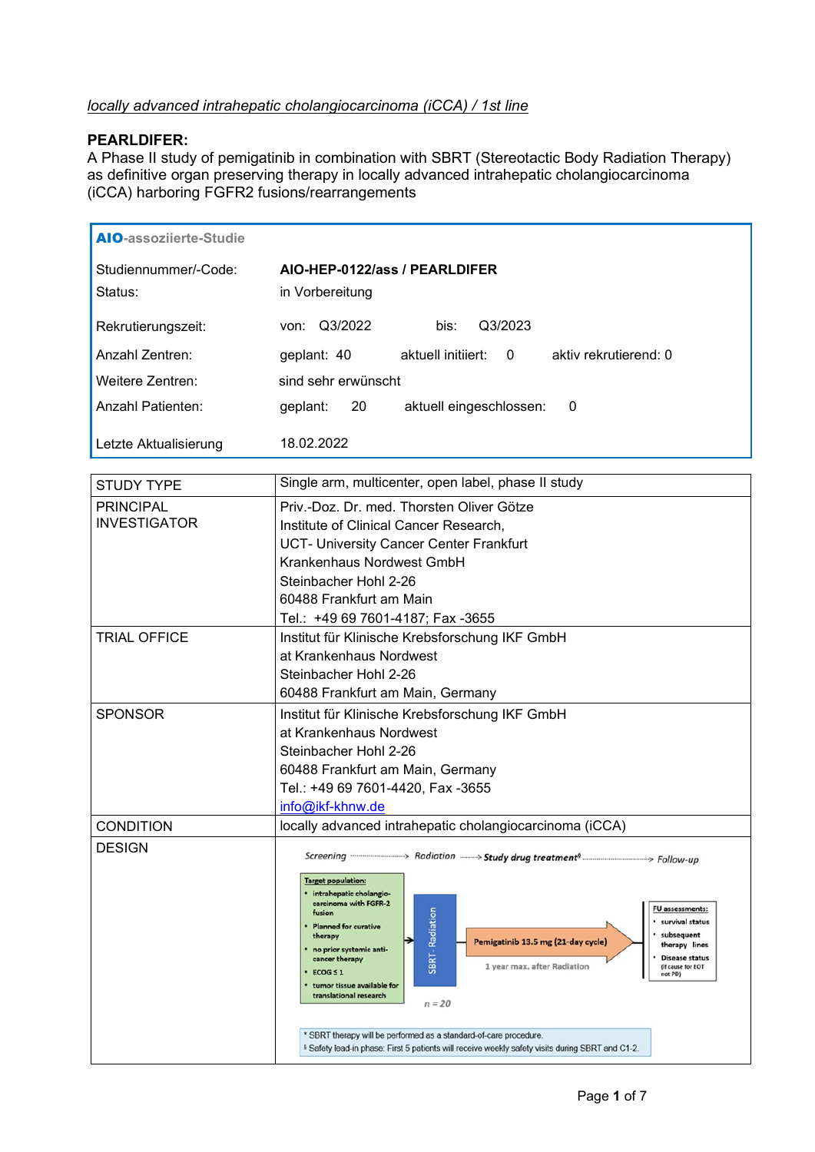## *locally advanced intrahepatic cholangiocarcinoma (iCCA) / 1st line*

## **PEARLDIFER:**

A Phase II study of pemigatinib in combination with SBRT (Stereotactic Body Radiation Therapy) as definitive organ preserving therapy in locally advanced intrahepatic cholangiocarcinoma (iCCA) harboring FGFR2 fusions/rearrangements

| <b>AIO-assozijerte-Studie</b>   |                                                              |
|---------------------------------|--------------------------------------------------------------|
| Studiennummer/-Code:<br>Status: | AIO-HEP-0122/ass / PEARLDIFER<br>in Vorbereitung             |
| Rekrutierungszeit:              | Q3/2022<br>Q3/2023<br>bis:<br>von:                           |
| Anzahl Zentren:                 | aktuell initiiert: 0<br>aktiv rekrutierend: 0<br>geplant: 40 |
| Weitere Zentren:                | sind sehr erwünscht                                          |
| <b>Anzahl Patienten:</b>        | 20<br>aktuell eingeschlossen:<br>geplant:<br>- 0             |
| Letzte Aktualisierung           | 18.02.2022                                                   |

| <b>STUDY TYPE</b>   | Single arm, multicenter, open label, phase II study                                                                                                                                                                                                                                                                                                                                                                                                                                           |
|---------------------|-----------------------------------------------------------------------------------------------------------------------------------------------------------------------------------------------------------------------------------------------------------------------------------------------------------------------------------------------------------------------------------------------------------------------------------------------------------------------------------------------|
| <b>PRINCIPAL</b>    | Priv.-Doz. Dr. med. Thorsten Oliver Götze                                                                                                                                                                                                                                                                                                                                                                                                                                                     |
| <b>INVESTIGATOR</b> | Institute of Clinical Cancer Research,                                                                                                                                                                                                                                                                                                                                                                                                                                                        |
|                     | UCT- University Cancer Center Frankfurt                                                                                                                                                                                                                                                                                                                                                                                                                                                       |
|                     | Krankenhaus Nordwest GmbH                                                                                                                                                                                                                                                                                                                                                                                                                                                                     |
|                     | Steinbacher Hohl 2-26                                                                                                                                                                                                                                                                                                                                                                                                                                                                         |
|                     | 60488 Frankfurt am Main                                                                                                                                                                                                                                                                                                                                                                                                                                                                       |
|                     | Tel.: +49 69 7601-4187; Fax -3655                                                                                                                                                                                                                                                                                                                                                                                                                                                             |
| <b>TRIAL OFFICE</b> | Institut für Klinische Krebsforschung IKF GmbH                                                                                                                                                                                                                                                                                                                                                                                                                                                |
|                     | at Krankenhaus Nordwest                                                                                                                                                                                                                                                                                                                                                                                                                                                                       |
|                     | Steinbacher Hohl 2-26                                                                                                                                                                                                                                                                                                                                                                                                                                                                         |
|                     | 60488 Frankfurt am Main, Germany                                                                                                                                                                                                                                                                                                                                                                                                                                                              |
| <b>SPONSOR</b>      | Institut für Klinische Krebsforschung IKF GmbH                                                                                                                                                                                                                                                                                                                                                                                                                                                |
|                     | at Krankenhaus Nordwest                                                                                                                                                                                                                                                                                                                                                                                                                                                                       |
|                     | Steinbacher Hohl 2-26                                                                                                                                                                                                                                                                                                                                                                                                                                                                         |
|                     | 60488 Frankfurt am Main, Germany                                                                                                                                                                                                                                                                                                                                                                                                                                                              |
|                     | Tel.: +49 69 7601-4420, Fax -3655                                                                                                                                                                                                                                                                                                                                                                                                                                                             |
|                     | info@ikf-khnw.de                                                                                                                                                                                                                                                                                                                                                                                                                                                                              |
| <b>CONDITION</b>    | locally advanced intrahepatic cholangiocarcinoma (iCCA)                                                                                                                                                                                                                                                                                                                                                                                                                                       |
| <b>DESIGN</b>       | Screening <b>Contains and Screening</b> Screening Manuscript Radiation <b>Controller Screening Screening</b> Follow-up                                                                                                                                                                                                                                                                                                                                                                        |
|                     | <b>Target population:</b><br>· intrahepatic cholangio-<br>carcinoma with FGFR-2<br>FU assessments:<br>SBRT - Radiation<br>fusion<br>· survival status<br>• Planned for curative<br>· subsequent<br>therapy<br>Pemigatinib 13.5 mg (21-day cycle)<br>therapy lines<br>· no prior systemic anti-<br><b>Disease status</b><br>cancer therapy<br>1 year max. after Radiation<br>(if cause for EOT<br>$ECOG \leq 1$<br>not PD)<br>tumor tissue available for<br>translational research<br>$n = 20$ |
|                     | * SBRT therapy will be performed as a standard-of-care procedure.<br>\$ Safety lead-in phase: First 5 patients will receive weekly safety visits during SBRT and C1-2.                                                                                                                                                                                                                                                                                                                        |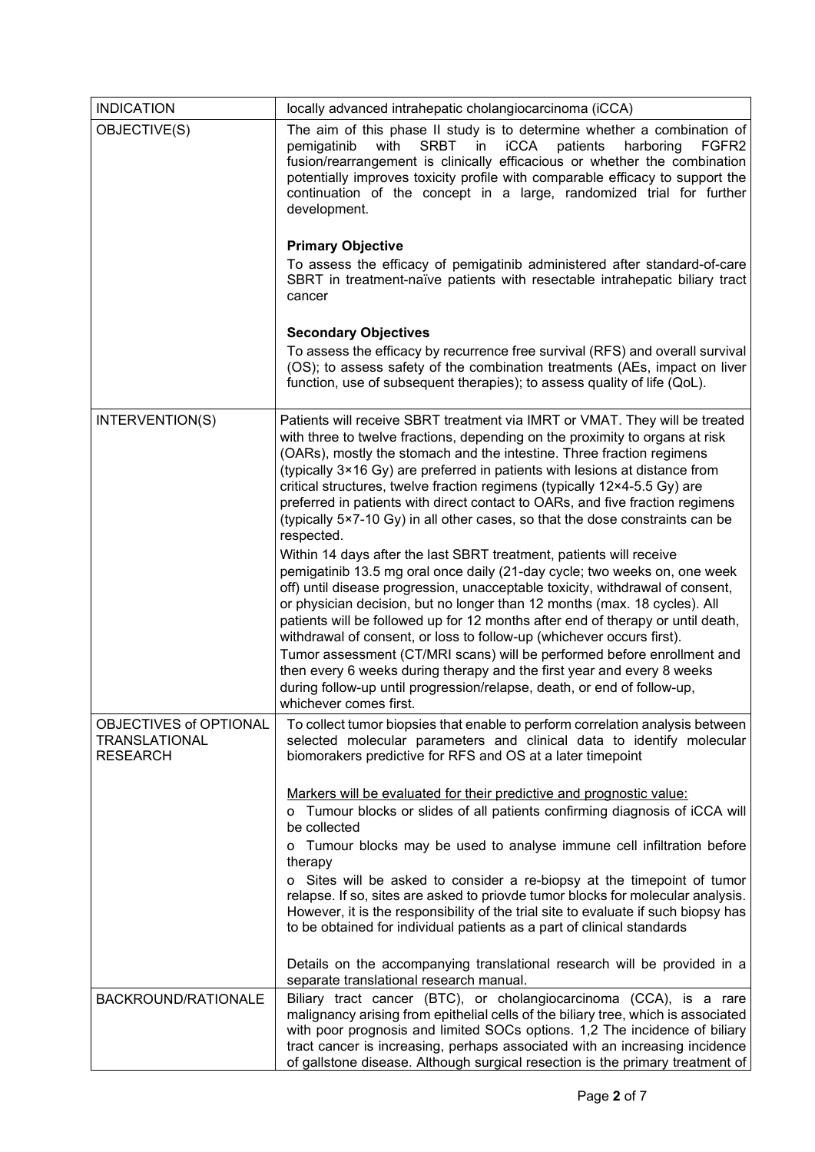| <b>INDICATION</b>                                          | locally advanced intrahepatic cholangiocarcinoma (iCCA)                                                                                                                                                                                                                                                                                                                                                                                                                                                                                                                                                                                                                                                                              |
|------------------------------------------------------------|--------------------------------------------------------------------------------------------------------------------------------------------------------------------------------------------------------------------------------------------------------------------------------------------------------------------------------------------------------------------------------------------------------------------------------------------------------------------------------------------------------------------------------------------------------------------------------------------------------------------------------------------------------------------------------------------------------------------------------------|
| OBJECTIVE(S)                                               | The aim of this phase II study is to determine whether a combination of<br>with<br><b>SRBT</b><br>in<br><b>iCCA</b><br>patients<br>pemigatinib<br>harboring<br>FGFR <sub>2</sub><br>fusion/rearrangement is clinically efficacious or whether the combination<br>potentially improves toxicity profile with comparable efficacy to support the<br>continuation of the concept in a large, randomized trial for further<br>development.<br><b>Primary Objective</b><br>To assess the efficacy of pemigatinib administered after standard-of-care                                                                                                                                                                                      |
|                                                            | SBRT in treatment-naïve patients with resectable intrahepatic biliary tract<br>cancer<br><b>Secondary Objectives</b>                                                                                                                                                                                                                                                                                                                                                                                                                                                                                                                                                                                                                 |
|                                                            | To assess the efficacy by recurrence free survival (RFS) and overall survival<br>(OS); to assess safety of the combination treatments (AEs, impact on liver<br>function, use of subsequent therapies); to assess quality of life (QoL).                                                                                                                                                                                                                                                                                                                                                                                                                                                                                              |
| INTERVENTION(S)                                            | Patients will receive SBRT treatment via IMRT or VMAT. They will be treated<br>with three to twelve fractions, depending on the proximity to organs at risk<br>(OARs), mostly the stomach and the intestine. Three fraction regimens<br>(typically 3×16 Gy) are preferred in patients with lesions at distance from<br>critical structures, twelve fraction regimens (typically 12×4-5.5 Gy) are<br>preferred in patients with direct contact to OARs, and five fraction regimens<br>(typically 5×7-10 Gy) in all other cases, so that the dose constraints can be<br>respected.                                                                                                                                                     |
|                                                            | Within 14 days after the last SBRT treatment, patients will receive<br>pemigatinib 13.5 mg oral once daily (21-day cycle; two weeks on, one week<br>off) until disease progression, unacceptable toxicity, withdrawal of consent,<br>or physician decision, but no longer than 12 months (max. 18 cycles). All<br>patients will be followed up for 12 months after end of therapy or until death,<br>withdrawal of consent, or loss to follow-up (whichever occurs first).<br>Tumor assessment (CT/MRI scans) will be performed before enrollment and<br>then every 6 weeks during therapy and the first year and every 8 weeks<br>during follow-up until progression/relapse, death, or end of follow-up,<br>whichever comes first. |
| OBJECTIVES of OPTIONAL<br>TRANSLATIONAL<br><b>RESEARCH</b> | To collect tumor biopsies that enable to perform correlation analysis between<br>selected molecular parameters and clinical data to identify molecular<br>biomorakers predictive for RFS and OS at a later timepoint                                                                                                                                                                                                                                                                                                                                                                                                                                                                                                                 |
|                                                            | Markers will be evaluated for their predictive and prognostic value:<br>o Tumour blocks or slides of all patients confirming diagnosis of iCCA will<br>be collected                                                                                                                                                                                                                                                                                                                                                                                                                                                                                                                                                                  |
|                                                            | Tumour blocks may be used to analyse immune cell infiltration before<br>o<br>therapy                                                                                                                                                                                                                                                                                                                                                                                                                                                                                                                                                                                                                                                 |
|                                                            | o Sites will be asked to consider a re-biopsy at the timepoint of tumor<br>relapse. If so, sites are asked to priovde tumor blocks for molecular analysis.<br>However, it is the responsibility of the trial site to evaluate if such biopsy has<br>to be obtained for individual patients as a part of clinical standards                                                                                                                                                                                                                                                                                                                                                                                                           |
|                                                            | Details on the accompanying translational research will be provided in a<br>separate translational research manual.                                                                                                                                                                                                                                                                                                                                                                                                                                                                                                                                                                                                                  |
| BACKROUND/RATIONALE                                        | Biliary tract cancer (BTC), or cholangiocarcinoma (CCA), is a rare<br>malignancy arising from epithelial cells of the biliary tree, which is associated<br>with poor prognosis and limited SOCs options. 1,2 The incidence of biliary<br>tract cancer is increasing, perhaps associated with an increasing incidence<br>of gallstone disease. Although surgical resection is the primary treatment of                                                                                                                                                                                                                                                                                                                                |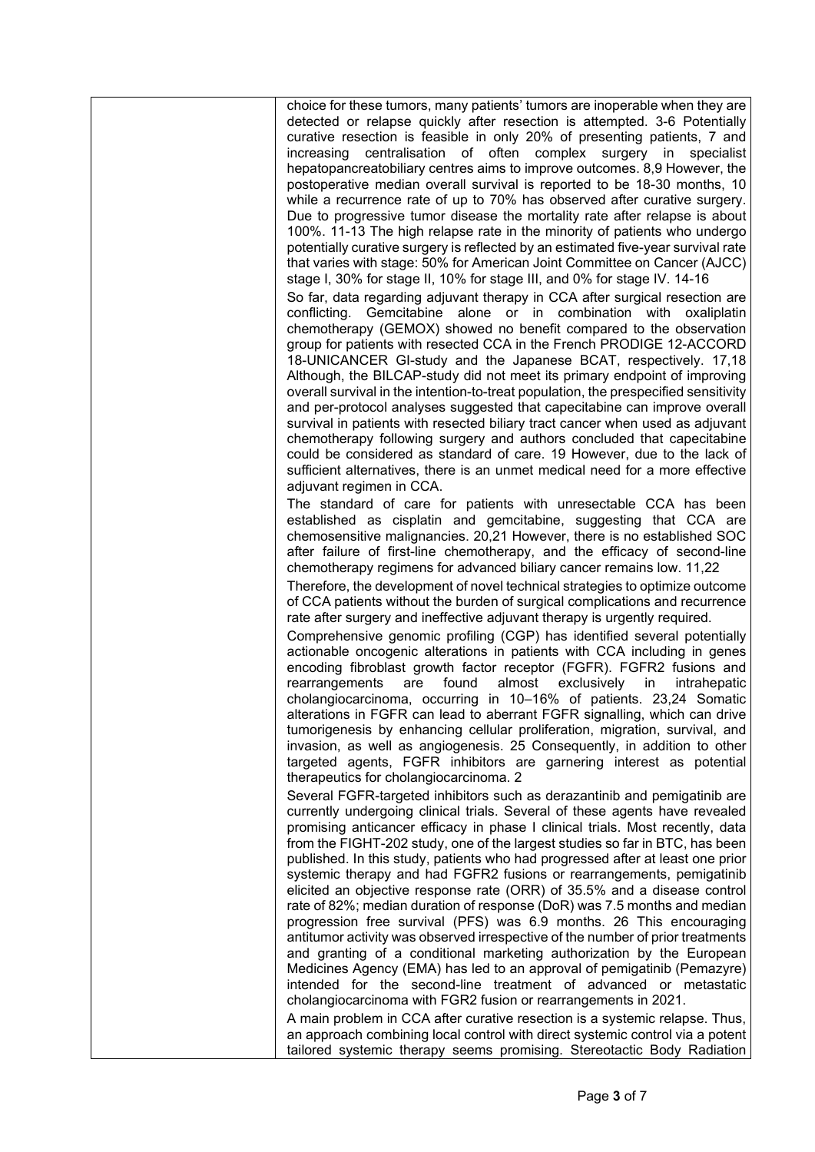choice for these tumors, many patients' tumors are inoperable when they are detected or relapse quickly after resection is attempted. 3-6 Potentially curative resection is feasible in only 20% of presenting patients, 7 and increasing centralisation of often complex surgery in specialist hepatopancreatobiliary centres aims to improve outcomes. 8,9 However, the postoperative median overall survival is reported to be 18-30 months, 10 while a recurrence rate of up to 70% has observed after curative surgery. Due to progressive tumor disease the mortality rate after relapse is about 100%. 11-13 The high relapse rate in the minority of patients who undergo potentially curative surgery is reflected by an estimated five-year survival rate that varies with stage: 50% for American Joint Committee on Cancer (AJCC) stage I, 30% for stage II, 10% for stage III, and 0% for stage IV. 14-16 So far, data regarding adjuvant therapy in CCA after surgical resection are conflicting. Gemcitabine alone or in combination with oxaliplatin

chemotherapy (GEMOX) showed no benefit compared to the observation group for patients with resected CCA in the French PRODIGE 12-ACCORD 18-UNICANCER GI-study and the Japanese BCAT, respectively. 17,18 Although, the BILCAP-study did not meet its primary endpoint of improving overall survival in the intention-to-treat population, the prespecified sensitivity and per-protocol analyses suggested that capecitabine can improve overall survival in patients with resected biliary tract cancer when used as adjuvant chemotherapy following surgery and authors concluded that capecitabine could be considered as standard of care. 19 However, due to the lack of sufficient alternatives, there is an unmet medical need for a more effective adjuvant regimen in CCA.

The standard of care for patients with unresectable CCA has been established as cisplatin and gemcitabine, suggesting that CCA are chemosensitive malignancies. 20,21 However, there is no established SOC after failure of first-line chemotherapy, and the efficacy of second-line chemotherapy regimens for advanced biliary cancer remains low. 11,22

Therefore, the development of novel technical strategies to optimize outcome of CCA patients without the burden of surgical complications and recurrence rate after surgery and ineffective adjuvant therapy is urgently required.

Comprehensive genomic profiling (CGP) has identified several potentially actionable oncogenic alterations in patients with CCA including in genes encoding fibroblast growth factor receptor (FGFR). FGFR2 fusions and rearrangements are found almost exclusively in intrahepatic cholangiocarcinoma, occurring in 10–16% of patients. 23,24 Somatic alterations in FGFR can lead to aberrant FGFR signalling, which can drive tumorigenesis by enhancing cellular proliferation, migration, survival, and invasion, as well as angiogenesis. 25 Consequently, in addition to other targeted agents, FGFR inhibitors are garnering interest as potential therapeutics for cholangiocarcinoma. 2

Several FGFR-targeted inhibitors such as derazantinib and pemigatinib are currently undergoing clinical trials. Several of these agents have revealed promising anticancer efficacy in phase I clinical trials. Most recently, data from the FIGHT-202 study, one of the largest studies so far in BTC, has been published. In this study, patients who had progressed after at least one prior systemic therapy and had FGFR2 fusions or rearrangements, pemigatinib elicited an objective response rate (ORR) of 35.5% and a disease control rate of 82%; median duration of response (DoR) was 7.5 months and median progression free survival (PFS) was 6.9 months. 26 This encouraging antitumor activity was observed irrespective of the number of prior treatments and granting of a conditional marketing authorization by the European Medicines Agency (EMA) has led to an approval of pemigatinib (Pemazyre) intended for the second-line treatment of advanced or metastatic cholangiocarcinoma with FGR2 fusion or rearrangements in 2021.

A main problem in CCA after curative resection is a systemic relapse. Thus, an approach combining local control with direct systemic control via a potent tailored systemic therapy seems promising. Stereotactic Body Radiation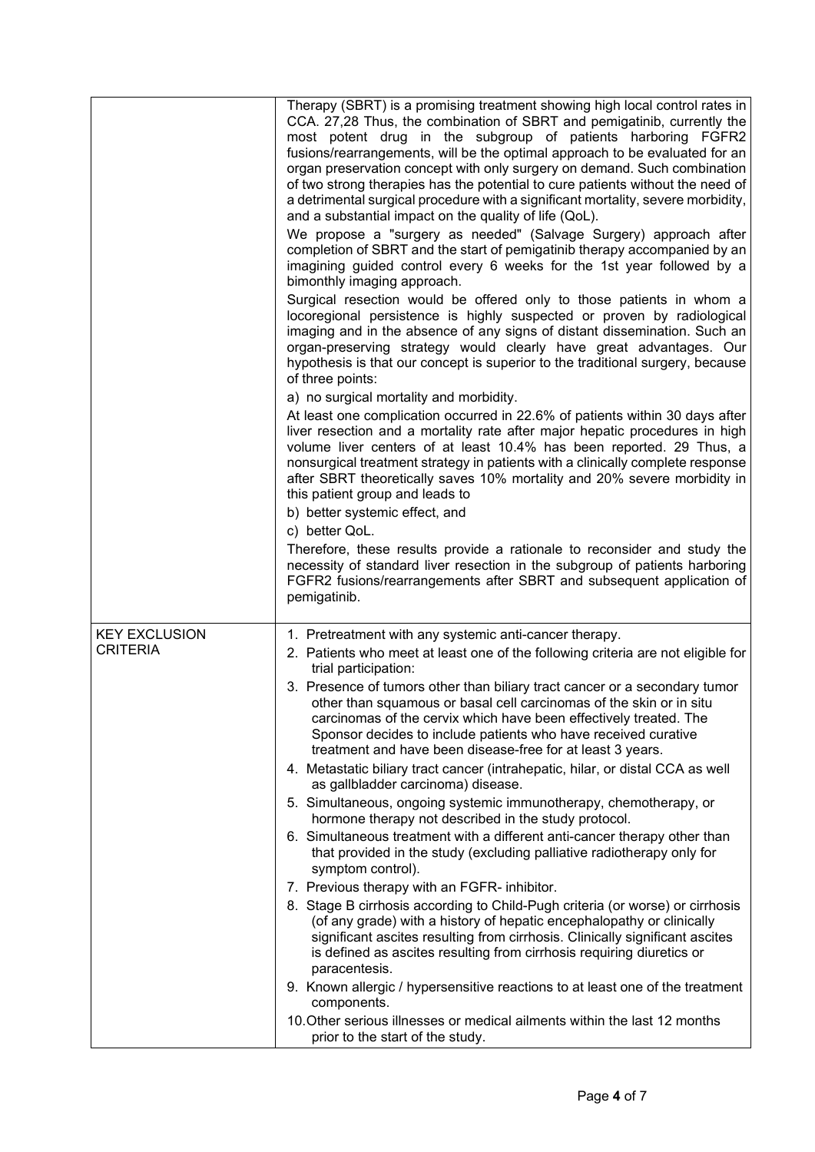|                                         | Therapy (SBRT) is a promising treatment showing high local control rates in<br>CCA. 27,28 Thus, the combination of SBRT and pemigatinib, currently the<br>most potent drug in the subgroup of patients harboring FGFR2<br>fusions/rearrangements, will be the optimal approach to be evaluated for an<br>organ preservation concept with only surgery on demand. Such combination<br>of two strong therapies has the potential to cure patients without the need of<br>a detrimental surgical procedure with a significant mortality, severe morbidity,<br>and a substantial impact on the quality of life (QoL).<br>We propose a "surgery as needed" (Salvage Surgery) approach after<br>completion of SBRT and the start of pemigatinib therapy accompanied by an<br>imagining guided control every 6 weeks for the 1st year followed by a<br>bimonthly imaging approach.<br>Surgical resection would be offered only to those patients in whom a<br>locoregional persistence is highly suspected or proven by radiological<br>imaging and in the absence of any signs of distant dissemination. Such an<br>organ-preserving strategy would clearly have great advantages. Our<br>hypothesis is that our concept is superior to the traditional surgery, because<br>of three points:<br>a) no surgical mortality and morbidity.<br>At least one complication occurred in 22.6% of patients within 30 days after<br>liver resection and a mortality rate after major hepatic procedures in high<br>volume liver centers of at least 10.4% has been reported. 29 Thus, a<br>nonsurgical treatment strategy in patients with a clinically complete response<br>after SBRT theoretically saves 10% mortality and 20% severe morbidity in<br>this patient group and leads to<br>b) better systemic effect, and<br>c) better QoL.<br>Therefore, these results provide a rationale to reconsider and study the<br>necessity of standard liver resection in the subgroup of patients harboring<br>FGFR2 fusions/rearrangements after SBRT and subsequent application of<br>pemigatinib. |
|-----------------------------------------|-----------------------------------------------------------------------------------------------------------------------------------------------------------------------------------------------------------------------------------------------------------------------------------------------------------------------------------------------------------------------------------------------------------------------------------------------------------------------------------------------------------------------------------------------------------------------------------------------------------------------------------------------------------------------------------------------------------------------------------------------------------------------------------------------------------------------------------------------------------------------------------------------------------------------------------------------------------------------------------------------------------------------------------------------------------------------------------------------------------------------------------------------------------------------------------------------------------------------------------------------------------------------------------------------------------------------------------------------------------------------------------------------------------------------------------------------------------------------------------------------------------------------------------------------------------------------------------------------------------------------------------------------------------------------------------------------------------------------------------------------------------------------------------------------------------------------------------------------------------------------------------------------------------------------------------------------------------------------------------------------------------------------------------------------------------------------------------|
| <b>KEY EXCLUSION</b><br><b>CRITERIA</b> | 1. Pretreatment with any systemic anti-cancer therapy.<br>2. Patients who meet at least one of the following criteria are not eligible for<br>trial participation:<br>3. Presence of tumors other than biliary tract cancer or a secondary tumor<br>other than squamous or basal cell carcinomas of the skin or in situ<br>carcinomas of the cervix which have been effectively treated. The<br>Sponsor decides to include patients who have received curative<br>treatment and have been disease-free for at least 3 years.<br>4. Metastatic biliary tract cancer (intrahepatic, hilar, or distal CCA as well<br>as gallbladder carcinoma) disease.<br>5. Simultaneous, ongoing systemic immunotherapy, chemotherapy, or<br>hormone therapy not described in the study protocol.<br>6. Simultaneous treatment with a different anti-cancer therapy other than<br>that provided in the study (excluding palliative radiotherapy only for<br>symptom control).<br>7. Previous therapy with an FGFR- inhibitor.<br>8. Stage B cirrhosis according to Child-Pugh criteria (or worse) or cirrhosis<br>(of any grade) with a history of hepatic encephalopathy or clinically<br>significant ascites resulting from cirrhosis. Clinically significant ascites<br>is defined as ascites resulting from cirrhosis requiring diuretics or<br>paracentesis.<br>9. Known allergic / hypersensitive reactions to at least one of the treatment<br>components.<br>10. Other serious illnesses or medical ailments within the last 12 months<br>prior to the start of the study.                                                                                                                                                                                                                                                                                                                                                                                                                                                                                                                |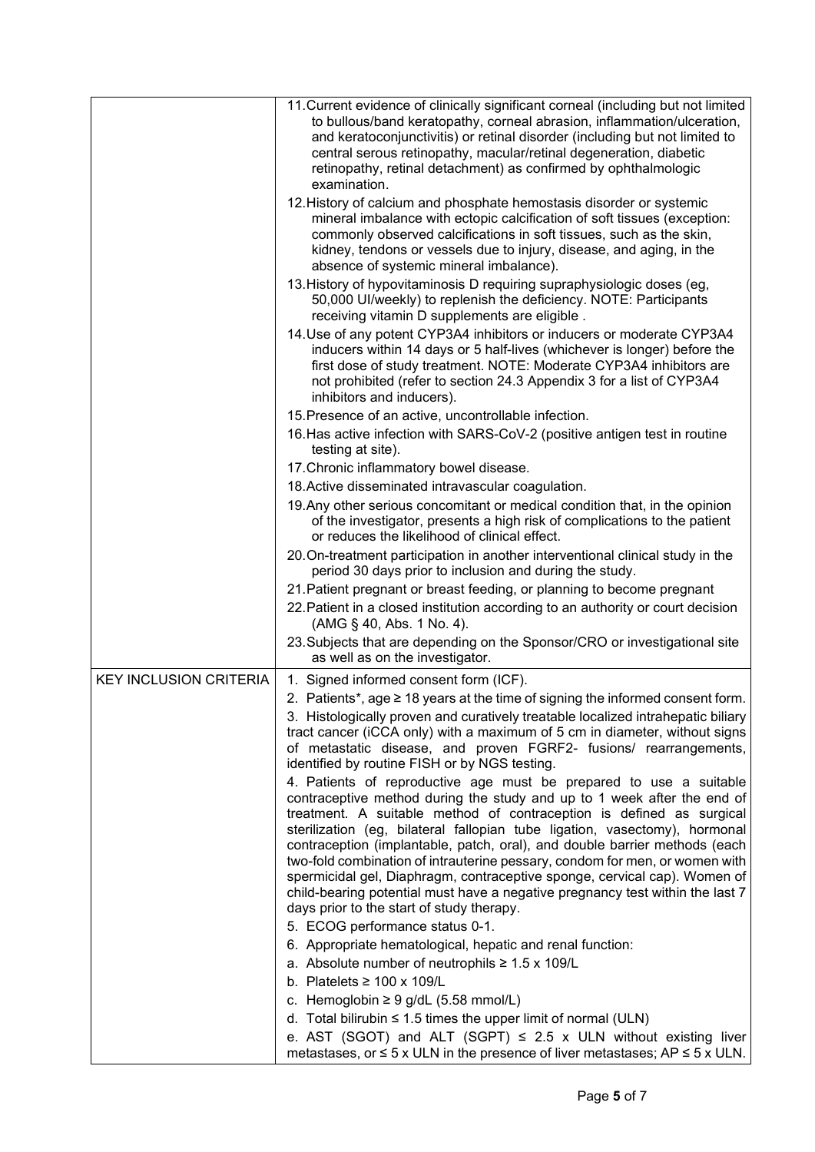|                               | 11. Current evidence of clinically significant corneal (including but not limited                                                                                                                                                                                                    |
|-------------------------------|--------------------------------------------------------------------------------------------------------------------------------------------------------------------------------------------------------------------------------------------------------------------------------------|
|                               | to bullous/band keratopathy, corneal abrasion, inflammation/ulceration,                                                                                                                                                                                                              |
|                               | and keratoconjunctivitis) or retinal disorder (including but not limited to<br>central serous retinopathy, macular/retinal degeneration, diabetic                                                                                                                                    |
|                               | retinopathy, retinal detachment) as confirmed by ophthalmologic                                                                                                                                                                                                                      |
|                               | examination.                                                                                                                                                                                                                                                                         |
|                               | 12. History of calcium and phosphate hemostasis disorder or systemic                                                                                                                                                                                                                 |
|                               | mineral imbalance with ectopic calcification of soft tissues (exception:                                                                                                                                                                                                             |
|                               | commonly observed calcifications in soft tissues, such as the skin,                                                                                                                                                                                                                  |
|                               | kidney, tendons or vessels due to injury, disease, and aging, in the                                                                                                                                                                                                                 |
|                               | absence of systemic mineral imbalance).<br>13. History of hypovitaminosis D requiring supraphysiologic doses (eg,                                                                                                                                                                    |
|                               | 50,000 UI/weekly) to replenish the deficiency. NOTE: Participants<br>receiving vitamin D supplements are eligible.                                                                                                                                                                   |
|                               | 14. Use of any potent CYP3A4 inhibitors or inducers or moderate CYP3A4                                                                                                                                                                                                               |
|                               | inducers within 14 days or 5 half-lives (whichever is longer) before the<br>first dose of study treatment. NOTE: Moderate CYP3A4 inhibitors are<br>not prohibited (refer to section 24.3 Appendix 3 for a list of CYP3A4                                                             |
|                               | inhibitors and inducers).                                                                                                                                                                                                                                                            |
|                               | 15. Presence of an active, uncontrollable infection.                                                                                                                                                                                                                                 |
|                               | 16. Has active infection with SARS-CoV-2 (positive antigen test in routine<br>testing at site).                                                                                                                                                                                      |
|                               | 17. Chronic inflammatory bowel disease.                                                                                                                                                                                                                                              |
|                               | 18. Active disseminated intravascular coagulation.                                                                                                                                                                                                                                   |
|                               | 19. Any other serious concomitant or medical condition that, in the opinion<br>of the investigator, presents a high risk of complications to the patient<br>or reduces the likelihood of clinical effect.                                                                            |
|                               | 20. On-treatment participation in another interventional clinical study in the                                                                                                                                                                                                       |
|                               | period 30 days prior to inclusion and during the study.                                                                                                                                                                                                                              |
|                               | 21. Patient pregnant or breast feeding, or planning to become pregnant                                                                                                                                                                                                               |
|                               | 22. Patient in a closed institution according to an authority or court decision<br>(AMG § 40, Abs. 1 No. 4).                                                                                                                                                                         |
|                               | 23. Subjects that are depending on the Sponsor/CRO or investigational site<br>as well as on the investigator.                                                                                                                                                                        |
| <b>KEY INCLUSION CRITERIA</b> | 1. Signed informed consent form (ICF).                                                                                                                                                                                                                                               |
|                               | 2. Patients*, age $\geq 18$ years at the time of signing the informed consent form.                                                                                                                                                                                                  |
|                               | 3. Histologically proven and curatively treatable localized intrahepatic biliary<br>tract cancer (iCCA only) with a maximum of 5 cm in diameter, without signs<br>of metastatic disease, and proven FGRF2- fusions/ rearrangements,<br>identified by routine FISH or by NGS testing. |
|                               | 4. Patients of reproductive age must be prepared to use a suitable                                                                                                                                                                                                                   |
|                               | contraceptive method during the study and up to 1 week after the end of                                                                                                                                                                                                              |
|                               | treatment. A suitable method of contraception is defined as surgical                                                                                                                                                                                                                 |
|                               | sterilization (eg, bilateral fallopian tube ligation, vasectomy), hormonal                                                                                                                                                                                                           |
|                               | contraception (implantable, patch, oral), and double barrier methods (each<br>two-fold combination of intrauterine pessary, condom for men, or women with                                                                                                                            |
|                               | spermicidal gel, Diaphragm, contraceptive sponge, cervical cap). Women of                                                                                                                                                                                                            |
|                               | child-bearing potential must have a negative pregnancy test within the last 7                                                                                                                                                                                                        |
|                               | days prior to the start of study therapy.                                                                                                                                                                                                                                            |
|                               | 5. ECOG performance status 0-1.                                                                                                                                                                                                                                                      |
|                               | 6. Appropriate hematological, hepatic and renal function:                                                                                                                                                                                                                            |
|                               | a. Absolute number of neutrophils $\geq 1.5 \times 109/L$                                                                                                                                                                                                                            |
|                               | b. Platelets $\geq 100 \times 109/L$                                                                                                                                                                                                                                                 |
|                               | c. Hemoglobin $\geq 9$ g/dL (5.58 mmol/L)                                                                                                                                                                                                                                            |
|                               | d. Total bilirubin $\leq 1.5$ times the upper limit of normal (ULN)                                                                                                                                                                                                                  |
|                               | e. AST (SGOT) and ALT (SGPT) $\leq$ 2.5 x ULN without existing liver<br>metastases, or $\leq$ 5 x ULN in the presence of liver metastases; AP $\leq$ 5 x ULN.                                                                                                                        |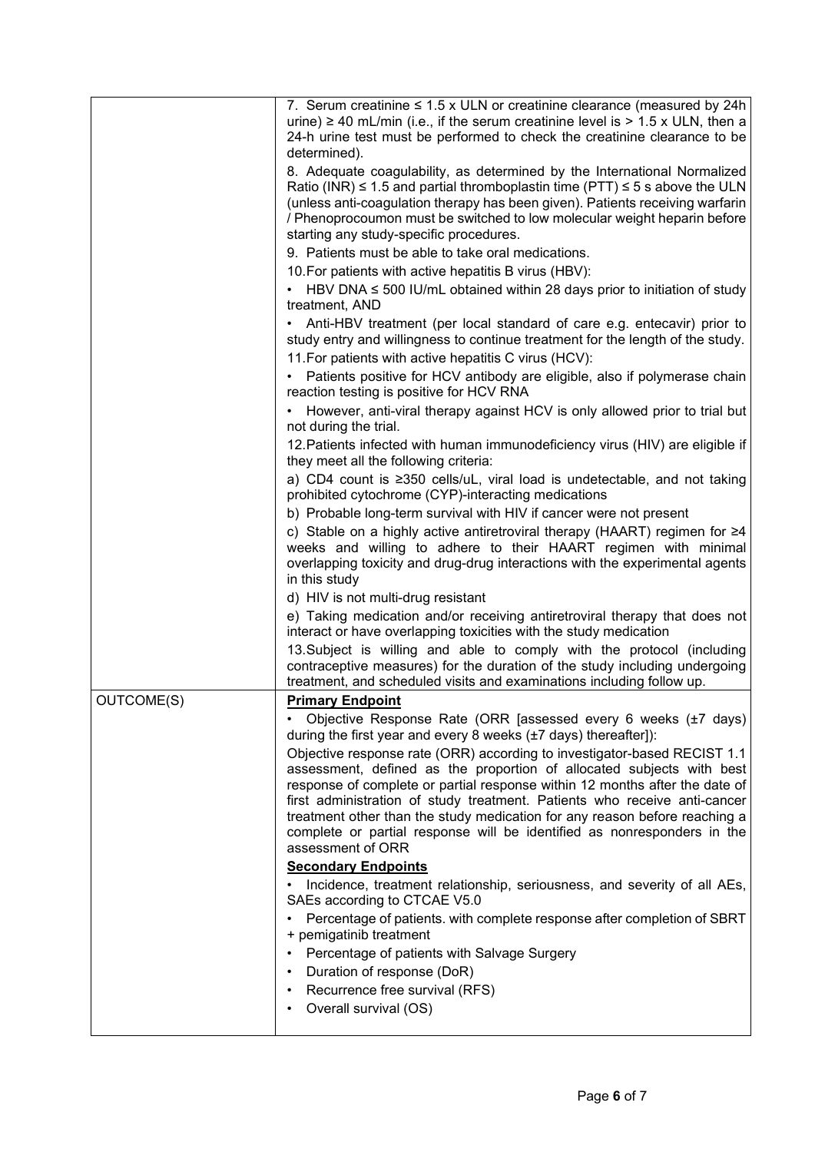|            | 7. Serum creatinine $\leq 1.5$ x ULN or creatinine clearance (measured by 24h<br>urine) $\ge$ 40 mL/min (i.e., if the serum creatinine level is > 1.5 x ULN, then a<br>24-h urine test must be performed to check the creatinine clearance to be<br>determined).                                                                                                                                                                                                                            |
|------------|---------------------------------------------------------------------------------------------------------------------------------------------------------------------------------------------------------------------------------------------------------------------------------------------------------------------------------------------------------------------------------------------------------------------------------------------------------------------------------------------|
|            | 8. Adequate coagulability, as determined by the International Normalized<br>Ratio (INR) $\leq$ 1.5 and partial thromboplastin time (PTT) $\leq$ 5 s above the ULN<br>(unless anti-coagulation therapy has been given). Patients receiving warfarin<br>/ Phenoprocoumon must be switched to low molecular weight heparin before<br>starting any study-specific procedures.                                                                                                                   |
|            | 9. Patients must be able to take oral medications.                                                                                                                                                                                                                                                                                                                                                                                                                                          |
|            | 10. For patients with active hepatitis B virus (HBV):<br>• HBV DNA $\leq$ 500 IU/mL obtained within 28 days prior to initiation of study                                                                                                                                                                                                                                                                                                                                                    |
|            | treatment, AND                                                                                                                                                                                                                                                                                                                                                                                                                                                                              |
|            | • Anti-HBV treatment (per local standard of care e.g. entecavir) prior to<br>study entry and willingness to continue treatment for the length of the study.<br>11. For patients with active hepatitis C virus (HCV):                                                                                                                                                                                                                                                                        |
|            | • Patients positive for HCV antibody are eligible, also if polymerase chain<br>reaction testing is positive for HCV RNA                                                                                                                                                                                                                                                                                                                                                                     |
|            | • However, anti-viral therapy against HCV is only allowed prior to trial but<br>not during the trial.                                                                                                                                                                                                                                                                                                                                                                                       |
|            | 12. Patients infected with human immunodeficiency virus (HIV) are eligible if<br>they meet all the following criteria:                                                                                                                                                                                                                                                                                                                                                                      |
|            | a) CD4 count is ≥350 cells/uL, viral load is undetectable, and not taking<br>prohibited cytochrome (CYP)-interacting medications                                                                                                                                                                                                                                                                                                                                                            |
|            | b) Probable long-term survival with HIV if cancer were not present<br>c) Stable on a highly active antiretroviral therapy (HAART) regimen for ≥4<br>weeks and willing to adhere to their HAART regimen with minimal<br>overlapping toxicity and drug-drug interactions with the experimental agents                                                                                                                                                                                         |
|            | in this study<br>d) HIV is not multi-drug resistant                                                                                                                                                                                                                                                                                                                                                                                                                                         |
|            | e) Taking medication and/or receiving antiretroviral therapy that does not<br>interact or have overlapping toxicities with the study medication                                                                                                                                                                                                                                                                                                                                             |
|            | 13. Subject is willing and able to comply with the protocol (including<br>contraceptive measures) for the duration of the study including undergoing<br>treatment, and scheduled visits and examinations including follow up.                                                                                                                                                                                                                                                               |
| OUTCOME(S) | <b>Primary Endpoint</b>                                                                                                                                                                                                                                                                                                                                                                                                                                                                     |
|            | Objective Response Rate (ORR [assessed every 6 weeks (±7 days)<br>during the first year and every 8 weeks (±7 days) thereafter]):                                                                                                                                                                                                                                                                                                                                                           |
|            | Objective response rate (ORR) according to investigator-based RECIST 1.1<br>assessment, defined as the proportion of allocated subjects with best<br>response of complete or partial response within 12 months after the date of<br>first administration of study treatment. Patients who receive anti-cancer<br>treatment other than the study medication for any reason before reaching a<br>complete or partial response will be identified as nonresponders in the<br>assessment of ORR |
|            | <b>Secondary Endpoints</b>                                                                                                                                                                                                                                                                                                                                                                                                                                                                  |
|            | Incidence, treatment relationship, seriousness, and severity of all AEs,<br>SAEs according to CTCAE V5.0                                                                                                                                                                                                                                                                                                                                                                                    |
|            | Percentage of patients. with complete response after completion of SBRT<br>+ pemigatinib treatment                                                                                                                                                                                                                                                                                                                                                                                          |
|            | Percentage of patients with Salvage Surgery                                                                                                                                                                                                                                                                                                                                                                                                                                                 |
|            | Duration of response (DoR)                                                                                                                                                                                                                                                                                                                                                                                                                                                                  |
|            | Recurrence free survival (RFS)<br>Overall survival (OS)                                                                                                                                                                                                                                                                                                                                                                                                                                     |
|            |                                                                                                                                                                                                                                                                                                                                                                                                                                                                                             |